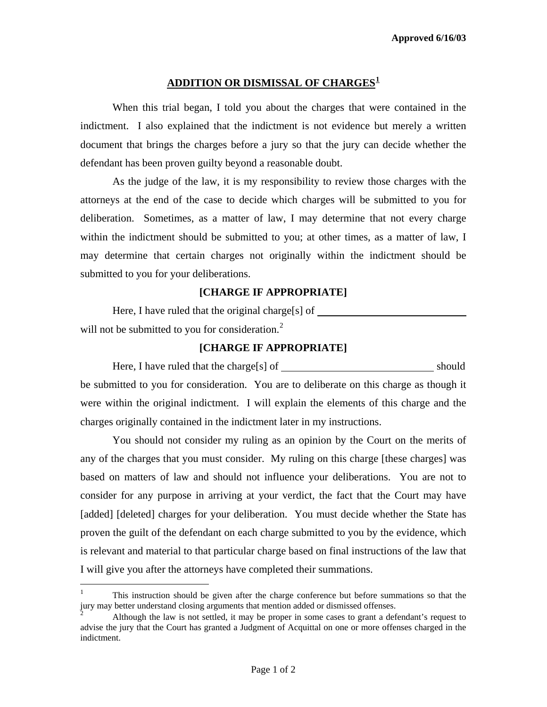## **ADDITION OR DISMISSAL OF CHARGES[1](#page-0-0)**

 When this trial began, I told you about the charges that were contained in the indictment. I also explained that the indictment is not evidence but merely a written document that brings the charges before a jury so that the jury can decide whether the defendant has been proven guilty beyond a reasonable doubt.

 As the judge of the law, it is my responsibility to review those charges with the attorneys at the end of the case to decide which charges will be submitted to you for deliberation. Sometimes, as a matter of law, I may determine that not every charge within the indictment should be submitted to you; at other times, as a matter of law, I may determine that certain charges not originally within the indictment should be submitted to you for your deliberations.

## **[CHARGE IF APPROPRIATE]**

Here, I have ruled that the original charge[s] of \_\_\_\_\_\_\_\_\_ will not be submitted to you for consideration. $<sup>2</sup>$  $<sup>2</sup>$  $<sup>2</sup>$ </sup>

#### **[CHARGE IF APPROPRIATE]**

Here, I have ruled that the charge[s] of should be submitted to you for consideration. You are to deliberate on this charge as though it were within the original indictment. I will explain the elements of this charge and the charges originally contained in the indictment later in my instructions.

 You should not consider my ruling as an opinion by the Court on the merits of any of the charges that you must consider. My ruling on this charge [these charges] was based on matters of law and should not influence your deliberations. You are not to consider for any purpose in arriving at your verdict, the fact that the Court may have [added] [deleted] charges for your deliberation. You must decide whether the State has proven the guilt of the defendant on each charge submitted to you by the evidence, which is relevant and material to that particular charge based on final instructions of the law that I will give you after the attorneys have completed their summations.

<span id="page-0-0"></span> $\mathbf{1}$ <sup>1</sup> This instruction should be given after the charge conference but before summations so that the jury may better understand closing arguments that mention added or dismissed offenses.

<span id="page-0-1"></span><sup>2</sup> Although the law is not settled, it may be proper in some cases to grant a defendant's request to advise the jury that the Court has granted a Judgment of Acquittal on one or more offenses charged in the indictment.